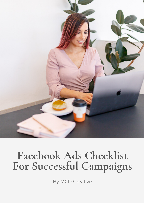

# **Facebook Ads Checklist For Successful Campaigns**

By MCD Creative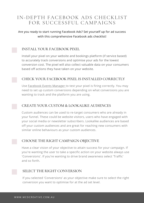# IN-DEPTH FACEBOOK ADS CHECKLIST FOR SUCCESSFUL CAMPAIGNS

#### Are you ready to start running Facebook Ads? Set yourself up for ad success with this comprehensive Facebook ads checklist!

## INSTALL YOUR FACEBOOK PIXEL

Install your pixel on your website and bookings platform (if service based) to accurately track conversions and optimise your ads for the lowest conversion cost. The pixel will also collect valuable data on your consumers based off actions they have taken on your website.

# CHECK YOUR FACEBOOK PIXEL IS INSTALLED CORRECTLY

Use [Facebook](https://www.facebook.com/events_manager/) Events Manager to test your pixel is firing correctly. You may need to set up custom conversions depending on what conversions you are wanting to track and the platform you are using.

#### CREATE YOUR CUSTOM & LOOKALIKE AUDIENCES

Custom audiences can be used to re-target consumers who are already in your funnel. These could be website visitors, users who have engaged with your social media or newsletter subscribers. Lookalike audiences are based off your custom audiences and are great for reaching new consumers with similar online behaviours as your custom audiences.

# CHOOSE THE RIGHT CAMPAIGN OBJECTIVE

Have a clear vision of your objective to attain success for your campaign. If you're wanting the user to take a specific action on your website always use 'Conversions'. If you're wanting to drive brand awareness select 'Traffic' and so forth.

#### SELECT THE RIGHT CONVERSION

If you selected 'Conversions' as your objective make sure to select the right conversion you want to optimise for at the ad set level.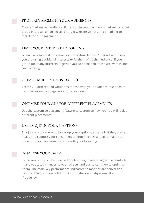#### PROPERLY SEGMENT YOUR AUDIENCES

Create 1 ad set per audience. For example you may have an ad set to target broad interests, an ad set to re-target website visitors and an ad-set to target social engagement.



## LIMIT YOUR INTEREST TARGETING

When using interests to refine your targeting, limit to 1 per ad set unless you are using additional interests to further refine the audience. If you group too many interests together you won't be able to isolate what is and isn't working.

#### CREATE MULTIPLE ADS TO TEST

Create 2-3 different ad variations to test what your audience responds to best. For example image vs carousel vs video.

#### OPTIMISE YOUR ADS FOR DIFFERENT PLACEMENTS

Use the customise placement feature to customise how your ad will look on different placements.

#### USE EMOJIS IN YOUR CAPTIONS

Emojis are a great way to break up your captions, especially if they are text heavy and capture your consumers attention. It's essential to make sure the emojis you are using coincide with your branding.

# ANALYSE YOUR DATA

Once your ad sets have finished the learning phase, analyse the results to make educated changes to your ad sets and ads to continue to optimise them. The main key performance indicators to monitor are conversion results, ROAS, cost-per-click, click-through-rate, cost-per-result and frequency.